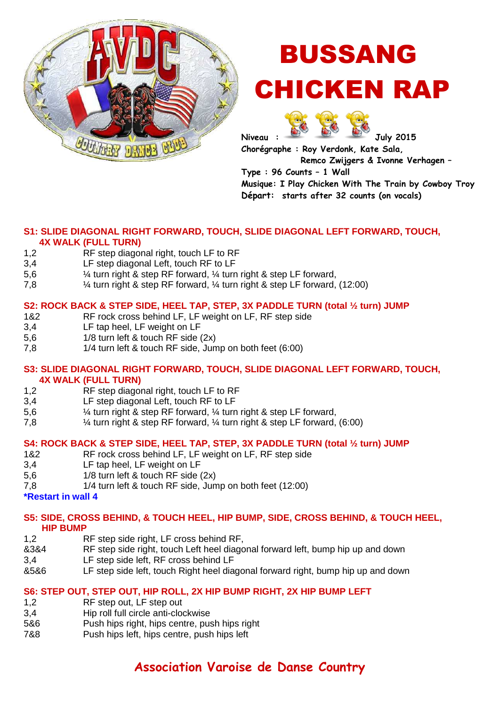

# BUSSANG CHICKEN RAP



**Chorégraphe : Roy Verdonk, Kate Sala, Remco Zwijgers & Ivonne Verhagen – Type : 96 Counts – 1 Wall** 

**Musique: I Play Chicken With The Train by Cowboy Troy Départ: starts after 32 counts (on vocals)**

# **S1: SLIDE DIAGONAL RIGHT FORWARD, TOUCH, SLIDE DIAGONAL LEFT FORWARD, TOUCH,**

### **4X WALK (FULL TURN)**

- 1,2 RF step diagonal right, touch LF to RF
- 3,4 LF step diagonal Left, touch RF to LF
- 5,6 ¼ turn right & step RF forward, ¼ turn right & step LF forward,
- 7,8 ¼ turn right & step RF forward, ¼ turn right & step LF forward, (12:00)

### **S2: ROCK BACK & STEP SIDE, HEEL TAP, STEP, 3X PADDLE TURN (total ½ turn) JUMP**

- 1&2 RF rock cross behind LF, LF weight on LF, RF step side
- 3,4 LF tap heel, LF weight on LF
- 5,6 1/8 turn left & touch RF side (2x)
- 7,8 1/4 turn left & touch RF side, Jump on both feet (6:00)

### **S3: SLIDE DIAGONAL RIGHT FORWARD, TOUCH, SLIDE DIAGONAL LEFT FORWARD, TOUCH, 4X WALK (FULL TURN)**

- 1,2 RF step diagonal right, touch LF to RF
- 3,4 LF step diagonal Left, touch RF to LF
- 5,6 ¼ turn right & step RF forward, ¼ turn right & step LF forward,
- 7,8 ¼ turn right & step RF forward, ¼ turn right & step LF forward, (6:00)

### **S4: ROCK BACK & STEP SIDE, HEEL TAP, STEP, 3X PADDLE TURN (total ½ turn) JUMP**

- 1&2 RF rock cross behind LF, LF weight on LF, RF step side
- 3,4 LF tap heel, LF weight on LF
- 5,6 1/8 turn left & touch RF side (2x)
- 7,8 1/4 turn left & touch RF side, Jump on both feet (12:00)
- **\*Restart in wall 4**

### **S5: SIDE, CROSS BEHIND, & TOUCH HEEL, HIP BUMP, SIDE, CROSS BEHIND, & TOUCH HEEL, HIP BUMP**

- 1,2 RF step side right, LF cross behind RF,
- &3&4 RF step side right, touch Left heel diagonal forward left, bump hip up and down
- 3,4 LF step side left, RF cross behind LF
- &5&6 LF step side left, touch Right heel diagonal forward right, bump hip up and down

### **S6: STEP OUT, STEP OUT, HIP ROLL, 2X HIP BUMP RIGHT, 2X HIP BUMP LEFT**

- 1,2 RF step out, LF step out
- 3,4 Hip roll full circle anti-clockwise
- 5&6 Push hips right, hips centre, push hips right
- 7&8 Push hips left, hips centre, push hips left

## **Association Varoise de Danse Country**